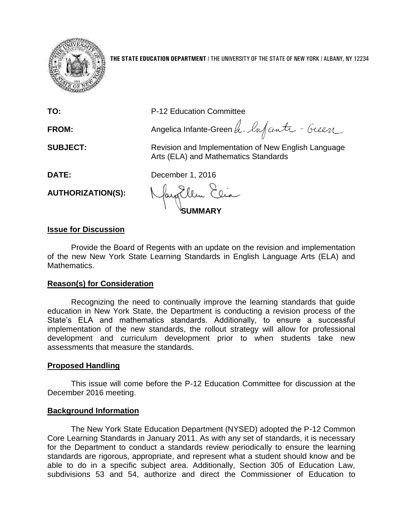

**THE STATE EDUCATION DEPARTMENT** / THE UNIVERSITY OF THE STATE OF NEW YORK / ALBANY, NY 12234

**TO:** P-12 Education Committee

FROM: Angelica Infante-Green h. Infanta - Geen

**SUBJECT:** Revision and Implementation of New English Language Arts (ELA) and Mathematics Standards

**DATE:** December 1, 2016

**AUTHORIZATION(S):**

**SUMMARY**

# **Issue for Discussion**

Provide the Board of Regents with an update on the revision and implementation of the new New York State Learning Standards in English Language Arts (ELA) and Mathematics.

# **Reason(s) for Consideration**

Recognizing the need to continually improve the learning standards that guide education in New York State, the Department is conducting a revision process of the State's ELA and mathematics standards. Additionally, to ensure a successful implementation of the new standards, the rollout strategy will allow for professional development and curriculum development prior to when students take new assessments that measure the standards.

# **Proposed Handling**

This issue will come before the P-12 Education Committee for discussion at the December 2016 meeting.

## **Background Information**

The New York State Education Department (NYSED) adopted the P-12 Common Core Learning Standards in January 2011. As with any set of standards, it is necessary for the Department to conduct a standards review periodically to ensure the learning standards are rigorous, appropriate, and represent what a student should know and be able to do in a specific subject area. Additionally, Section 305 of Education Law, subdivisions 53 and 54, authorize and direct the Commissioner of Education to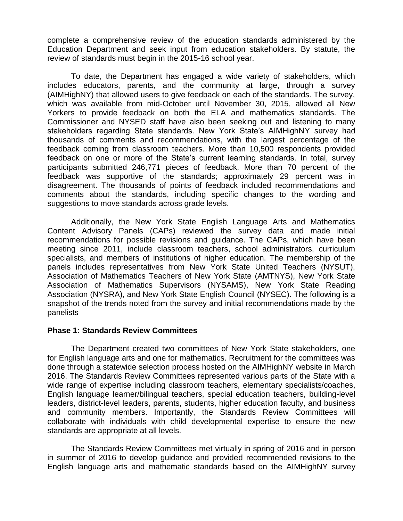complete a comprehensive review of the education standards administered by the Education Department and seek input from education stakeholders. By statute, the review of standards must begin in the 2015-16 school year.

To date, the Department has engaged a wide variety of stakeholders, which includes educators, parents, and the community at large, through a survey (AIMHighNY) that allowed users to give feedback on each of the standards. The survey, which was available from mid-October until November 30, 2015, allowed all New Yorkers to provide feedback on both the ELA and mathematics standards. The Commissioner and NYSED staff have also been seeking out and listening to many stakeholders regarding State standards. New York State's AIMHighNY survey had thousands of comments and recommendations, with the largest percentage of the feedback coming from classroom teachers. More than 10,500 respondents provided feedback on one or more of the State's current learning standards. In total, survey participants submitted 246,771 pieces of feedback. More than 70 percent of the feedback was supportive of the standards; approximately 29 percent was in disagreement. The thousands of points of feedback included recommendations and comments about the standards, including specific changes to the wording and suggestions to move standards across grade levels.

Additionally, the New York State English Language Arts and Mathematics Content Advisory Panels (CAPs) reviewed the survey data and made initial recommendations for possible revisions and guidance. The CAPs, which have been meeting since 2011, include classroom teachers, school administrators, curriculum specialists, and members of institutions of higher education. The membership of the panels includes representatives from New York State United Teachers (NYSUT), Association of Mathematics Teachers of New York State (AMTNYS), New York State Association of Mathematics Supervisors (NYSAMS), New York State Reading Association (NYSRA), and New York State English Council (NYSEC). The following is a snapshot of the trends noted from the survey and initial recommendations made by the panelists

## **Phase 1: Standards Review Committees**

The Department created two committees of New York State stakeholders, one for English language arts and one for mathematics. Recruitment for the committees was done through a statewide selection process hosted on the AIMHighNY website in March 2016. The Standards Review Committees represented various parts of the State with a wide range of expertise including classroom teachers, elementary specialists/coaches, English language learner/bilingual teachers, special education teachers, building-level leaders, district-level leaders, parents, students, higher education faculty, and business and community members. Importantly, the Standards Review Committees will collaborate with individuals with child developmental expertise to ensure the new standards are appropriate at all levels.

The Standards Review Committees met virtually in spring of 2016 and in person in summer of 2016 to develop guidance and provided recommended revisions to the English language arts and mathematic standards based on the AIMHighNY survey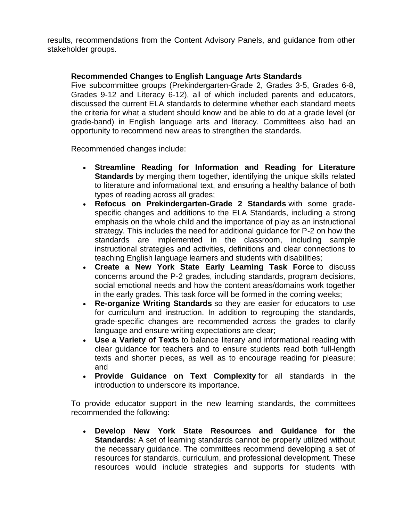results, recommendations from the Content Advisory Panels, and guidance from other stakeholder groups.

# **Recommended Changes to English Language Arts Standards**

Five subcommittee groups (Prekindergarten-Grade 2, Grades 3-5, Grades 6-8, Grades 9-12 and Literacy 6-12), all of which included parents and educators, discussed the current ELA standards to determine whether each standard meets the criteria for what a student should know and be able to do at a grade level (or grade-band) in English language arts and literacy. Committees also had an opportunity to recommend new areas to strengthen the standards.

Recommended changes include:

- **Streamline Reading for Information and Reading for Literature Standards** by merging them together, identifying the unique skills related to literature and informational text, and ensuring a healthy balance of both types of reading across all grades;
- **Refocus on Prekindergarten-Grade 2 Standards** with some gradespecific changes and additions to the ELA Standards, including a strong emphasis on the whole child and the importance of play as an instructional strategy. This includes the need for additional guidance for P-2 on how the standards are implemented in the classroom, including sample instructional strategies and activities, definitions and clear connections to teaching English language learners and students with disabilities;
- **Create a New York State Early Learning Task Force** to discuss concerns around the P-2 grades, including standards, program decisions, social emotional needs and how the content areas/domains work together in the early grades. This task force will be formed in the coming weeks;
- **Re-organize Writing Standards** so they are easier for educators to use for curriculum and instruction. In addition to regrouping the standards, grade-specific changes are recommended across the grades to clarify language and ensure writing expectations are clear;
- **Use a Variety of Texts** to balance literary and informational reading with clear guidance for teachers and to ensure students read both full-length texts and shorter pieces, as well as to encourage reading for pleasure; and
- **Provide Guidance on Text Complexity** for all standards in the introduction to underscore its importance.

To provide educator support in the new learning standards, the committees recommended the following:

 **Develop New York State Resources and Guidance for the Standards:** A set of learning standards cannot be properly utilized without the necessary guidance. The committees recommend developing a set of resources for standards, curriculum, and professional development. These resources would include strategies and supports for students with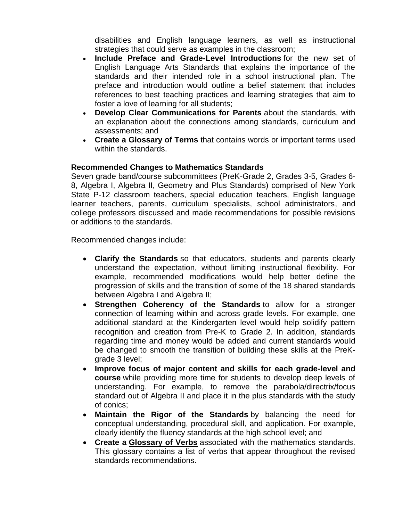disabilities and English language learners, as well as instructional strategies that could serve as examples in the classroom;

- **Include Preface and Grade-Level Introductions** for the new set of English Language Arts Standards that explains the importance of the standards and their intended role in a school instructional plan. The preface and introduction would outline a belief statement that includes references to best teaching practices and learning strategies that aim to foster a love of learning for all students;
- **Develop Clear Communications for Parents** about the standards, with an explanation about the connections among standards, curriculum and assessments; and
- **Create a Glossary of Terms** that contains words or important terms used within the standards.

# **Recommended Changes to Mathematics Standards**

Seven grade band/course subcommittees (PreK-Grade 2, Grades 3-5, Grades 6- 8, Algebra I, Algebra II, Geometry and Plus Standards) comprised of New York State P-12 classroom teachers, special education teachers, English language learner teachers, parents, curriculum specialists, school administrators, and college professors discussed and made recommendations for possible revisions or additions to the standards.

Recommended changes include:

- **Clarify the Standards** so that educators, students and parents clearly understand the expectation, without limiting instructional flexibility. For example, recommended modifications would help better define the progression of skills and the transition of some of the 18 shared standards between Algebra I and Algebra II;
- **Strengthen Coherency of the Standards** to allow for a stronger connection of learning within and across grade levels. For example, one additional standard at the Kindergarten level would help solidify pattern recognition and creation from Pre-K to Grade 2. In addition, standards regarding time and money would be added and current standards would be changed to smooth the transition of building these skills at the PreKgrade 3 level;
- **Improve focus of major content and skills for each grade-level and course** while providing more time for students to develop deep levels of understanding. For example, to remove the parabola/directrix/focus standard out of Algebra II and place it in the plus standards with the study of conics;
- **Maintain the Rigor of the Standards** by balancing the need for conceptual understanding, procedural skill, and application. For example, clearly identify the fluency standards at the high school level; and
- **Create a [Glossary of Verbs](http://www.nysed.gov/common/nysed/files/math-draft-standards-glossary-verbs.pdf)** associated with the mathematics standards. This glossary contains a list of verbs that appear throughout the revised standards recommendations.